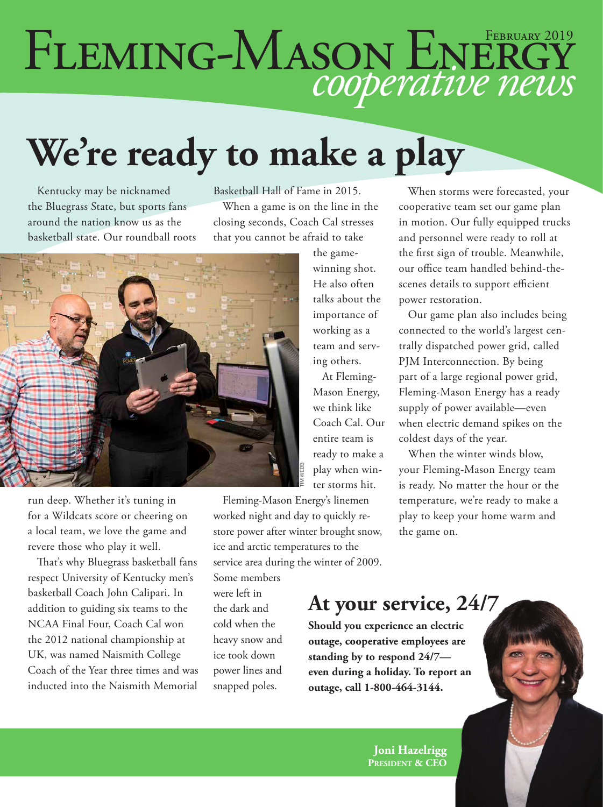# FLEMING-MASON ENERGY

# **We're ready to make a play**

Kentucky may be nicknamed the Bluegrass State, but sports fans around the nation know us as the basketball state. Our roundball roots Basketball Hall of Fame in 2015. When a game is on the line in the closing seconds, Coach Cal stresses that you cannot be afraid to take



run deep. Whether it's tuning in for a Wildcats score or cheering on a local team, we love the game and revere those who play it well.

That's why Bluegrass basketball fans respect University of Kentucky men's basketball Coach John Calipari. In addition to guiding six teams to the NCAA Final Four, Coach Cal won the 2012 national championship at UK, was named Naismith College Coach of the Year three times and was inducted into the Naismith Memorial

the gamewinning shot. He also often talks about the importance of working as a team and serving others.

At Fleming-Mason Energy, we think like Coach Cal. Our entire team is ready to make a play when winter storms hit.

Fleming-Mason Energy's linemen worked night and day to quickly restore power after winter brought snow, ice and arctic temperatures to the service area during the winter of 2009.

Some members were left in the dark and cold when the heavy snow and ice took down power lines and snapped poles.

## **At your service, 24/7**

**Should you experience an electric outage, cooperative employees are standing by to respond 24/7 even during a holiday. To report an outage, call 1-800-464-3144.**

When storms were forecasted, your cooperative team set our game plan in motion. Our fully equipped trucks and personnel were ready to roll at the first sign of trouble. Meanwhile, our office team handled behind-thescenes details to support efficient power restoration.

Our game plan also includes being connected to the world's largest centrally dispatched power grid, called PJM Interconnection. By being part of a large regional power grid, Fleming-Mason Energy has a ready supply of power available—even when electric demand spikes on the coldest days of the year.

When the winter winds blow, your Fleming-Mason Energy team is ready. No matter the hour or the temperature, we're ready to make a play to keep your home warm and the game on.

**Joni Hazelrigg President & CEO**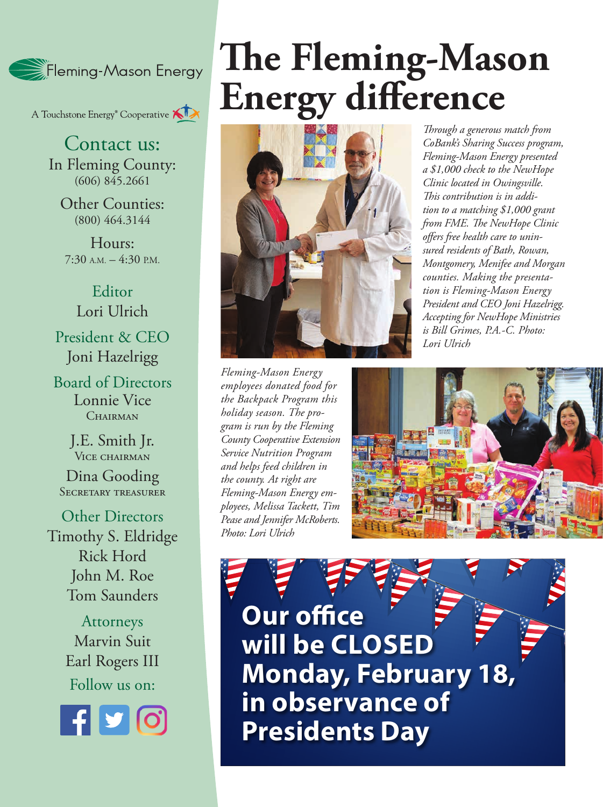

A Touchstone Energy<sup>®</sup> Cooperative

Contact us: In Fleming County: (606) 845.2661

Other Counties: (800) 464.3144

Hours:  $7:30$  A.M.  $-4:30$  P.M.

Editor Lori Ulrich President & CEO Joni Hazelrigg

Board of Directors Lonnie Vice CHAIRMAN

> J.E. Smith Jr. VICE CHAIRMAN

Dina Gooding SECRETARY TREASURER

Other Directors Timothy S. Eldridge Rick Hord John M. Roe Tom Saunders

> Attorneys Marvin Suit Earl Rogers III Follow us on:



# **The Fleming-Mason Energy difference**



*Fleming-Mason Energy employees donated food for the Backpack Program this holiday season. The program is run by the Fleming County Cooperative Extension Service Nutrition Program and helps feed children in the county. At right are Fleming-Mason Energy employees, Melissa Tackett, Tim Pease and Jennifer McRoberts. Photo: Lori Ulrich*

*Through a generous match from CoBank's Sharing Success program, Fleming-Mason Energy presented a \$1,000 check to the NewHope Clinic located in Owingsville. This contribution is in addition to a matching \$1,000 grant from FME. The NewHope Clinic offers free health care to uninsured residents of Bath, Rowan, Montgomery, Menifee and Morgan counties. Making the presentation is Fleming-Mason Energy President and CEO Joni Hazelrigg. Accepting for NewHope Ministries is Bill Grimes, P.A.-C. Photo: Lori Ulrich*



**Our office will be CLOSED Monday, February 18, in observance of Presidents Day**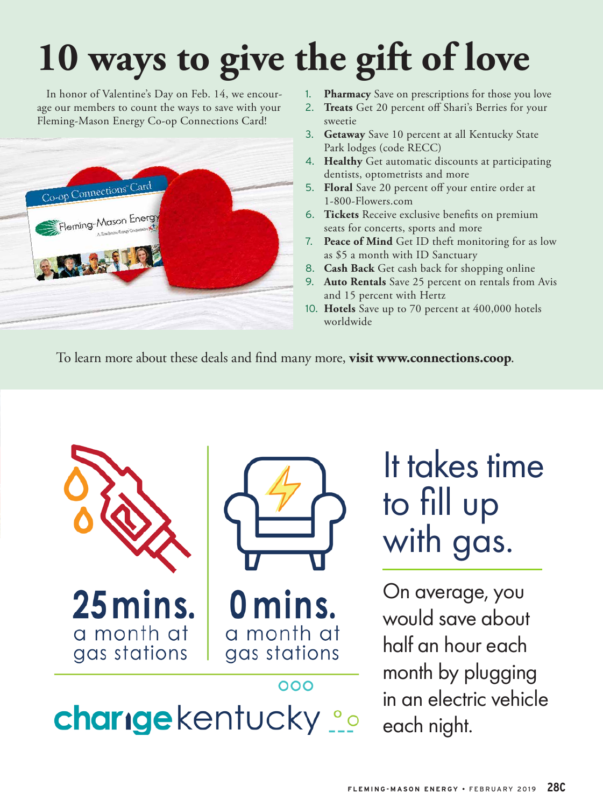# **10 ways to give the gift of love**

In honor of Valentine's Day on Feb. 14, we encourage our members to count the ways to save with your Fleming-Mason Energy Co-op Connections Card!



- 1. **Pharmacy** Save on prescriptions for those you love
- 2. **Treats** Get 20 percent off Shari's Berries for your sweetie
- 3. **Getaway** Save 10 percent at all Kentucky State Park lodges (code RECC)
- 4. **Healthy** Get automatic discounts at participating dentists, optometrists and more
- 5. **Floral** Save 20 percent off your entire order at 1-800-Flowers.com
- 6. **Tickets** Receive exclusive benefits on premium seats for concerts, sports and more
- 7. **Peace of Mind** Get ID theft monitoring for as low as \$5 a month with ID Sanctuary
- 8. **Cash Back** Get cash back for shopping online
- 9. **Auto Rentals** Save 25 percent on rentals from Avis and 15 percent with Hertz
- 10. **Hotels** Save up to 70 percent at 400,000 hotels worldwide

To learn more about these deals and find many more, **visit www.connections.coop**.



It takes time to fill up with gas.

On average, you would save about half an hour each month by plugging in an electric vehicle each night.